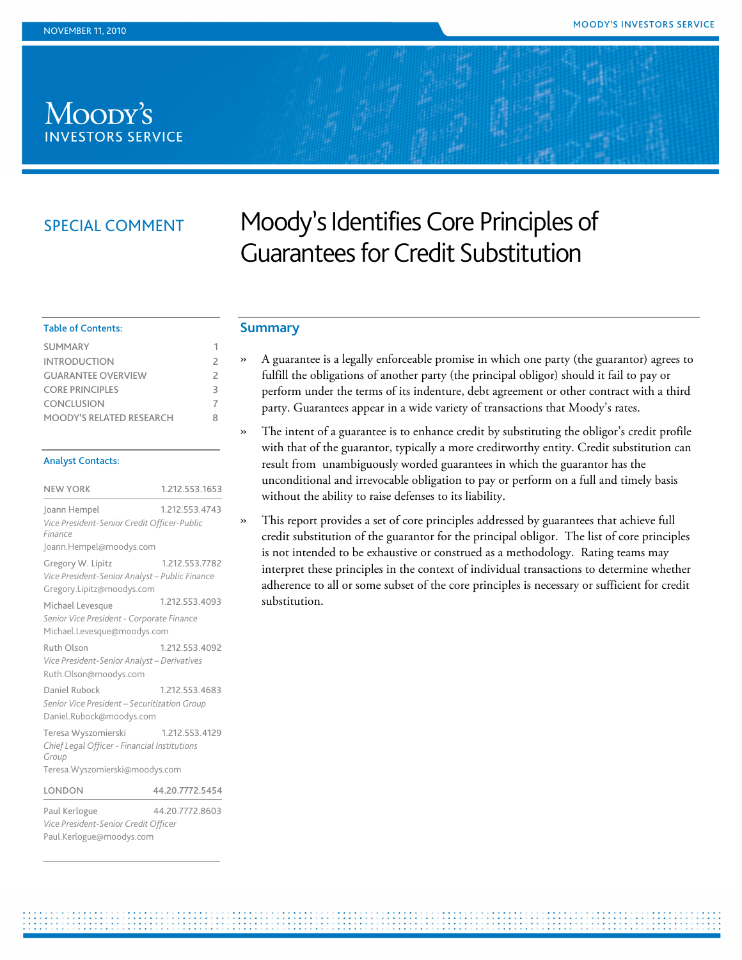# Moody's **INVESTORS SERVICE**

## SPECIAL COMMENT

# Moody's Identifies Core Principles of Guarantees for Credit Substitution

#### <span id="page-0-0"></span>**Summary**

- » A guarantee is a legally enforceable promise in which one party (the guarantor) agrees to fulfill the obligations of another party (the principal obligor) should it fail to pay or perform under the terms of its indenture, debt agreement or other contract with a third party. Guarantees appear in a wide variety of transactions that Moody's rates.
- » The intent of a guarantee is to enhance credit by substituting the obligor's credit profile with that of the guarantor, typically a more creditworthy entity. Credit substitution can result from unambiguously worded guarantees in which the guarantor has the unconditional and irrevocable obligation to pay or perform on a full and timely basis without the ability to raise defenses to its liability.
	- This report provides a set of core principles addressed by guarantees that achieve full credit substitution of the guarantor for the principal obligor. The list of core principles is not intended to be exhaustive or construed as a methodology. Rating teams may interpret these principles in the context of individual transactions to determine whether adherence to all or some subset of the core principles is necessary or sufficient for credit substitution.

#### Table of Contents:

| <b>SUMMARY</b>                  |   |
|---------------------------------|---|
| <b>INTRODUCTION</b>             | 2 |
| <b>GUARANTEE OVERVIEW</b>       | 2 |
| <b>CORE PRINCIPLES</b>          | 3 |
| <b>CONCLUSION</b>               |   |
| <b>MOODY'S RELATED RESEARCH</b> | Ջ |

#### Analyst Contacts:

| <b>NEW YORK</b>                                                                                                 | 1.212.553.1653  |
|-----------------------------------------------------------------------------------------------------------------|-----------------|
| Joann Hempel<br>Vice President-Senior Credit Officer-Public<br>Finance                                          | 1.212.553.4743  |
| Joann.Hempel@moodys.com                                                                                         |                 |
| Gregory W. Lipitz<br>Vice President-Senior Analyst - Public Finance<br>Gregory.Lipitz@moodys.com                | 1.212.553.7782  |
| Michael Levesque<br>Senior Vice President - Corporate Finance<br>Michael.Levesque@moodys.com                    | 1.212.553.4093  |
| Ruth Olson<br>Vice President-Senior Analyst - Derivatives<br>Ruth.Olson@moodys.com                              | 1.212.553.4092  |
| Daniel Rubock<br>Senior Vice President - Securitization Group<br>Daniel.Rubock@moodys.com                       | 1.212.553.4683  |
| Teresa Wyszomierski<br>Chief Legal Officer - Financial Institutions<br>Group<br>Teresa. Wyszomierski@moodys.com | 1.212.553.4129  |
| LONDON                                                                                                          | 44.20.7772.5454 |
|                                                                                                                 |                 |

Paul Kerlogue 44.20.7772.8603 *Vice President-Senior Credit Officer* Paul.Kerlogue@moodys.com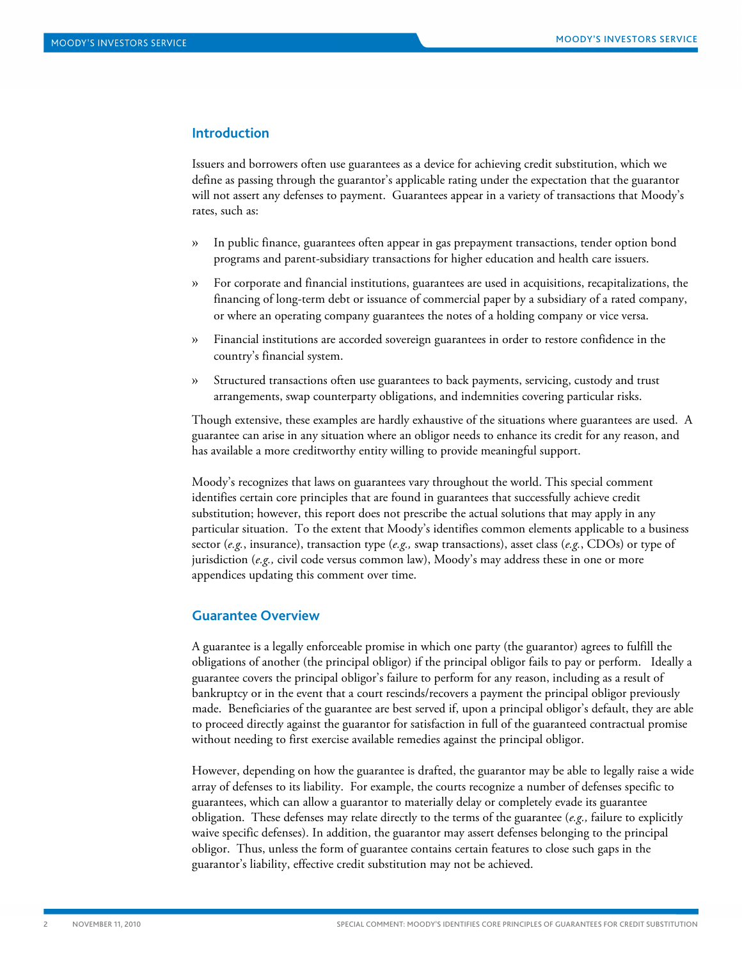#### <span id="page-1-0"></span>**Introduction**

Issuers and borrowers often use guarantees as a device for achieving credit substitution, which we define as passing through the guarantor's applicable rating under the expectation that the guarantor will not assert any defenses to payment. Guarantees appear in a variety of transactions that Moody's rates, such as:

- » In public finance, guarantees often appear in gas prepayment transactions, tender option bond programs and parent-subsidiary transactions for higher education and health care issuers.
- » For corporate and financial institutions, guarantees are used in acquisitions, recapitalizations, the financing of long-term debt or issuance of commercial paper by a subsidiary of a rated company, or where an operating company guarantees the notes of a holding company or vice versa.
- » Financial institutions are accorded sovereign guarantees in order to restore confidence in the country's financial system.
- » Structured transactions often use guarantees to back payments, servicing, custody and trust arrangements, swap counterparty obligations, and indemnities covering particular risks.

Though extensive, these examples are hardly exhaustive of the situations where guarantees are used. A guarantee can arise in any situation where an obligor needs to enhance its credit for any reason, and has available a more creditworthy entity willing to provide meaningful support.

Moody's recognizes that laws on guarantees vary throughout the world. This special comment identifies certain core principles that are found in guarantees that successfully achieve credit substitution; however, this report does not prescribe the actual solutions that may apply in any particular situation. To the extent that Moody's identifies common elements applicable to a business sector (*e.g.*, insurance), transaction type (*e.g.,* swap transactions), asset class (*e.g.*, CDOs) or type of jurisdiction (*e.g.,* civil code versus common law), Moody's may address these in one or more appendices updating this comment over time.

#### <span id="page-1-1"></span>**Guarantee Overview**

A guarantee is a legally enforceable promise in which one party (the guarantor) agrees to fulfill the obligations of another (the principal obligor) if the principal obligor fails to pay or perform. Ideally a guarantee covers the principal obligor's failure to perform for any reason, including as a result of bankruptcy or in the event that a court rescinds/recovers a payment the principal obligor previously made. Beneficiaries of the guarantee are best served if, upon a principal obligor's default, they are able to proceed directly against the guarantor for satisfaction in full of the guaranteed contractual promise without needing to first exercise available remedies against the principal obligor.

However, depending on how the guarantee is drafted, the guarantor may be able to legally raise a wide array of defenses to its liability. For example, the courts recognize a number of defenses specific to guarantees, which can allow a guarantor to materially delay or completely evade its guarantee obligation. These defenses may relate directly to the terms of the guarantee (*e.g.,* failure to explicitly waive specific defenses). In addition, the guarantor may assert defenses belonging to the principal obligor. Thus, unless the form of guarantee contains certain features to close such gaps in the guarantor's liability, effective credit substitution may not be achieved.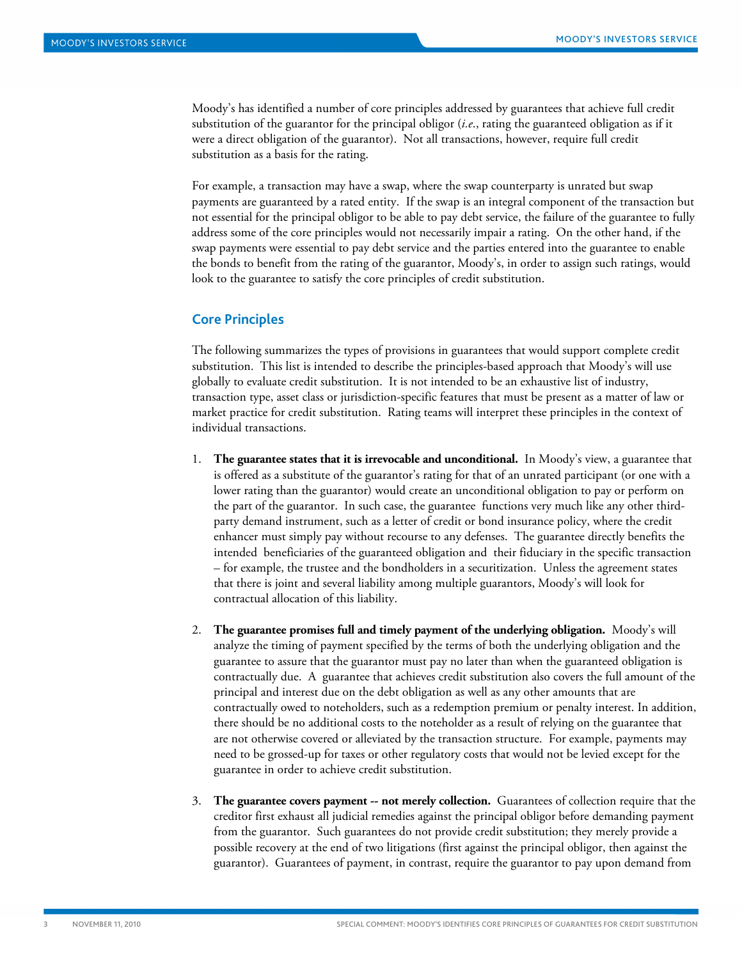Moody's has identified a number of core principles addressed by guarantees that achieve full credit substitution of the guarantor for the principal obligor (*i.e*., rating the guaranteed obligation as if it were a direct obligation of the guarantor). Not all transactions, however, require full credit substitution as a basis for the rating.

For example, a transaction may have a swap, where the swap counterparty is unrated but swap payments are guaranteed by a rated entity. If the swap is an integral component of the transaction but not essential for the principal obligor to be able to pay debt service, the failure of the guarantee to fully address some of the core principles would not necessarily impair a rating. On the other hand, if the swap payments were essential to pay debt service and the parties entered into the guarantee to enable the bonds to benefit from the rating of the guarantor, Moody's, in order to assign such ratings, would look to the guarantee to satisfy the core principles of credit substitution.

#### <span id="page-2-0"></span>**Core Principles**

The following summarizes the types of provisions in guarantees that would support complete credit substitution. This list is intended to describe the principles-based approach that Moody's will use globally to evaluate credit substitution. It is not intended to be an exhaustive list of industry, transaction type, asset class or jurisdiction-specific features that must be present as a matter of law or market practice for credit substitution. Rating teams will interpret these principles in the context of individual transactions.

- 1. **The guarantee states that it is irrevocable and unconditional.** In Moody's view, a guarantee that is offered as a substitute of the guarantor's rating for that of an unrated participant (or one with a lower rating than the guarantor) would create an unconditional obligation to pay or perform on the part of the guarantor. In such case, the guarantee functions very much like any other thirdparty demand instrument, such as a letter of credit or bond insurance policy, where the credit enhancer must simply pay without recourse to any defenses. The guarantee directly benefits the intended beneficiaries of the guaranteed obligation and their fiduciary in the specific transaction – for example, the trustee and the bondholders in a securitization. Unless the agreement states that there is joint and several liability among multiple guarantors, Moody's will look for contractual allocation of this liability.
- 2. **The guarantee promises full and timely payment of the underlying obligation.** Moody's will analyze the timing of payment specified by the terms of both the underlying obligation and the guarantee to assure that the guarantor must pay no later than when the guaranteed obligation is contractually due. A guarantee that achieves credit substitution also covers the full amount of the principal and interest due on the debt obligation as well as any other amounts that are contractually owed to noteholders, such as a redemption premium or penalty interest. In addition, there should be no additional costs to the noteholder as a result of relying on the guarantee that are not otherwise covered or alleviated by the transaction structure. For example, payments may need to be grossed-up for taxes or other regulatory costs that would not be levied except for the guarantee in order to achieve credit substitution.
- 3. **The guarantee covers payment -- not merely collection.** Guarantees of collection require that the creditor first exhaust all judicial remedies against the principal obligor before demanding payment from the guarantor. Such guarantees do not provide credit substitution; they merely provide a possible recovery at the end of two litigations (first against the principal obligor, then against the guarantor). Guarantees of payment, in contrast, require the guarantor to pay upon demand from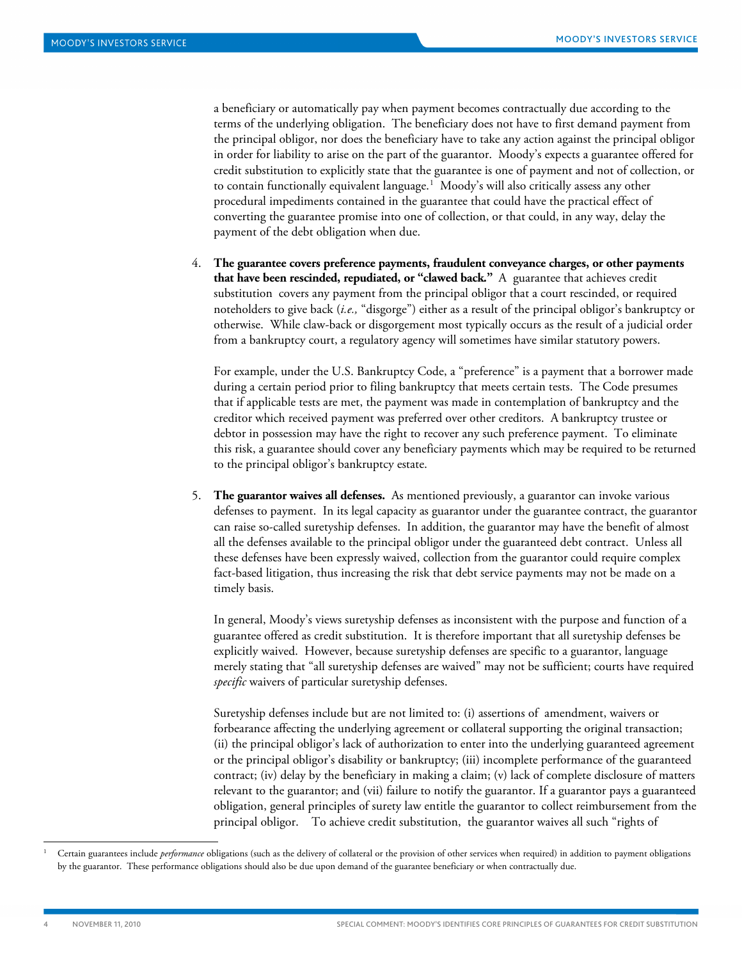a beneficiary or automatically pay when payment becomes contractually due according to the terms of the underlying obligation. The beneficiary does not have to first demand payment from the principal obligor, nor does the beneficiary have to take any action against the principal obligor in order for liability to arise on the part of the guarantor. Moody's expects a guarantee offered for credit substitution to explicitly state that the guarantee is one of payment and not of collection, or to contain functionally equivalent language.<sup>[1](#page-3-0)</sup> Moody's will also critically assess any other procedural impediments contained in the guarantee that could have the practical effect of converting the guarantee promise into one of collection, or that could, in any way, delay the payment of the debt obligation when due.

4. **The guarantee covers preference payments, fraudulent conveyance charges, or other payments that have been rescinded, repudiated, or "clawed back."** A guarantee that achieves credit substitution covers any payment from the principal obligor that a court rescinded, or required noteholders to give back (*i.e.,* "disgorge") either as a result of the principal obligor's bankruptcy or otherwise. While claw-back or disgorgement most typically occurs as the result of a judicial order from a bankruptcy court, a regulatory agency will sometimes have similar statutory powers.

For example, under the U.S. Bankruptcy Code, a "preference" is a payment that a borrower made during a certain period prior to filing bankruptcy that meets certain tests. The Code presumes that if applicable tests are met, the payment was made in contemplation of bankruptcy and the creditor which received payment was preferred over other creditors. A bankruptcy trustee or debtor in possession may have the right to recover any such preference payment. To eliminate this risk, a guarantee should cover any beneficiary payments which may be required to be returned to the principal obligor's bankruptcy estate.

5. **The guarantor waives all defenses.** As mentioned previously, a guarantor can invoke various defenses to payment. In its legal capacity as guarantor under the guarantee contract, the guarantor can raise so-called suretyship defenses. In addition, the guarantor may have the benefit of almost all the defenses available to the principal obligor under the guaranteed debt contract. Unless all these defenses have been expressly waived, collection from the guarantor could require complex fact-based litigation, thus increasing the risk that debt service payments may not be made on a timely basis.

In general, Moody's views suretyship defenses as inconsistent with the purpose and function of a guarantee offered as credit substitution. It is therefore important that all suretyship defenses be explicitly waived. However, because suretyship defenses are specific to a guarantor, language merely stating that "all suretyship defenses are waived" may not be sufficient; courts have required *specific* waivers of particular suretyship defenses.

Suretyship defenses include but are not limited to: (i) assertions of amendment, waivers or forbearance affecting the underlying agreement or collateral supporting the original transaction; (ii) the principal obligor's lack of authorization to enter into the underlying guaranteed agreement or the principal obligor's disability or bankruptcy; (iii) incomplete performance of the guaranteed contract; (iv) delay by the beneficiary in making a claim; (v) lack of complete disclosure of matters relevant to the guarantor; and (vii) failure to notify the guarantor. If a guarantor pays a guaranteed obligation, general principles of surety law entitle the guarantor to collect reimbursement from the principal obligor. To achieve credit substitution, the guarantor waives all such "rights of

֖֖֖֖֖֖֖֖֖֚֚֚֚֚֚֚֚֚֚֚֚֚֚֚֚֚֚֚֚֚֚֚֚֚֬֝֓֡֓֡֞֡֞֡֡֬֓֞֡֞֡֡֬֓֞֡֞֞֡֞

j

<span id="page-3-0"></span><sup>1</sup> Certain guarantees include *performance* obligations (such as the delivery of collateral or the provision of other services when required) in addition to payment obligations by the guarantor. These performance obligations should also be due upon demand of the guarantee beneficiary or when contractually due.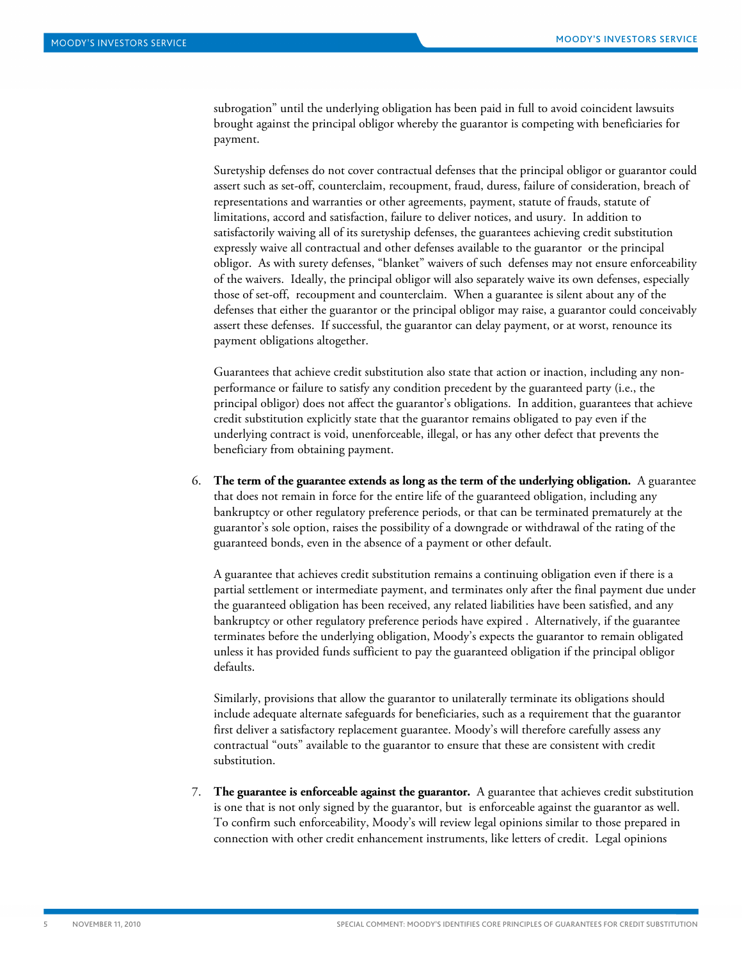subrogation" until the underlying obligation has been paid in full to avoid coincident lawsuits brought against the principal obligor whereby the guarantor is competing with beneficiaries for payment.

Suretyship defenses do not cover contractual defenses that the principal obligor or guarantor could assert such as set-off, counterclaim, recoupment, fraud, duress, failure of consideration, breach of representations and warranties or other agreements, payment, statute of frauds, statute of limitations, accord and satisfaction, failure to deliver notices, and usury. In addition to satisfactorily waiving all of its suretyship defenses, the guarantees achieving credit substitution expressly waive all contractual and other defenses available to the guarantor or the principal obligor. As with surety defenses, "blanket" waivers of such defenses may not ensure enforceability of the waivers. Ideally, the principal obligor will also separately waive its own defenses, especially those of set-off, recoupment and counterclaim. When a guarantee is silent about any of the defenses that either the guarantor or the principal obligor may raise, a guarantor could conceivably assert these defenses. If successful, the guarantor can delay payment, or at worst, renounce its payment obligations altogether.

Guarantees that achieve credit substitution also state that action or inaction, including any nonperformance or failure to satisfy any condition precedent by the guaranteed party (i.e., the principal obligor) does not affect the guarantor's obligations. In addition, guarantees that achieve credit substitution explicitly state that the guarantor remains obligated to pay even if the underlying contract is void, unenforceable, illegal, or has any other defect that prevents the beneficiary from obtaining payment.

6. **The term of the guarantee extends as long as the term of the underlying obligation.** A guarantee that does not remain in force for the entire life of the guaranteed obligation, including any bankruptcy or other regulatory preference periods, or that can be terminated prematurely at the guarantor's sole option, raises the possibility of a downgrade or withdrawal of the rating of the guaranteed bonds, even in the absence of a payment or other default.

A guarantee that achieves credit substitution remains a continuing obligation even if there is a partial settlement or intermediate payment, and terminates only after the final payment due under the guaranteed obligation has been received, any related liabilities have been satisfied, and any bankruptcy or other regulatory preference periods have expired . Alternatively, if the guarantee terminates before the underlying obligation, Moody's expects the guarantor to remain obligated unless it has provided funds sufficient to pay the guaranteed obligation if the principal obligor defaults.

Similarly, provisions that allow the guarantor to unilaterally terminate its obligations should include adequate alternate safeguards for beneficiaries, such as a requirement that the guarantor first deliver a satisfactory replacement guarantee. Moody's will therefore carefully assess any contractual "outs" available to the guarantor to ensure that these are consistent with credit substitution.

7. **The guarantee is enforceable against the guarantor.** A guarantee that achieves credit substitution is one that is not only signed by the guarantor, but is enforceable against the guarantor as well. To confirm such enforceability, Moody's will review legal opinions similar to those prepared in connection with other credit enhancement instruments, like letters of credit. Legal opinions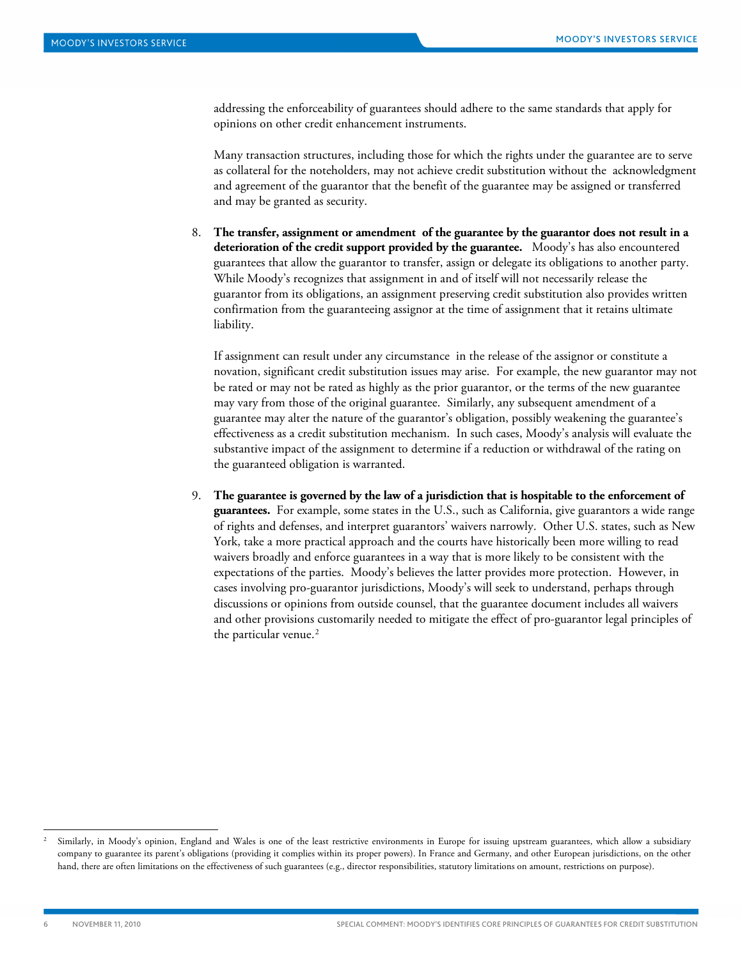addressing the enforceability of guarantees should adhere to the same standards that apply for opinions on other credit enhancement instruments.

Many transaction structures, including those for which the rights under the guarantee are to serve as collateral for the noteholders, may not achieve credit substitution without the acknowledgment and agreement of the guarantor that the benefit of the guarantee may be assigned or transferred and may be granted as security.

8. **The transfer, assignment or amendment of the guarantee by the guarantor does not result in a deterioration of the credit support provided by the guarantee.** Moody's has also encountered guarantees that allow the guarantor to transfer, assign or delegate its obligations to another party. While Moody's recognizes that assignment in and of itself will not necessarily release the guarantor from its obligations, an assignment preserving credit substitution also provides written confirmation from the guaranteeing assignor at the time of assignment that it retains ultimate liability.

If assignment can result under any circumstance in the release of the assignor or constitute a novation, significant credit substitution issues may arise. For example, the new guarantor may not be rated or may not be rated as highly as the prior guarantor, or the terms of the new guarantee may vary from those of the original guarantee. Similarly, any subsequent amendment of a guarantee may alter the nature of the guarantor's obligation, possibly weakening the guarantee's effectiveness as a credit substitution mechanism. In such cases, Moody's analysis will evaluate the substantive impact of the assignment to determine if a reduction or withdrawal of the rating on the guaranteed obligation is warranted.

9. **The guarantee is governed by the law of a jurisdiction that is hospitable to the enforcement of guarantees.** For example, some states in the U.S., such as California, give guarantors a wide range of rights and defenses, and interpret guarantors' waivers narrowly. Other U.S. states, such as New York, take a more practical approach and the courts have historically been more willing to read waivers broadly and enforce guarantees in a way that is more likely to be consistent with the expectations of the parties. Moody's believes the latter provides more protection. However, in cases involving pro-guarantor jurisdictions, Moody's will seek to understand, perhaps through discussions or opinions from outside counsel, that the guarantee document includes all waivers and other provisions customarily needed to mitigate the effect of pro-guarantor legal principles of the particular venue.<sup>[2](#page-5-0)</sup>

֖֖֖֖֖֖֖֖֖֚֚֚֚֚֚֚֚֚֚֚֚֚֚֚֚֚֚֚֚֚֚֚֚֚֬֝֓֡֓֡֞֡֞֡֡֬֓֞֡֞֡֡֬֓֞֡֞֞֡֞

1

<span id="page-5-0"></span><sup>2</sup> Similarly, in Moody's opinion, England and Wales is one of the least restrictive environments in Europe for issuing upstream guarantees, which allow a subsidiary company to guarantee its parent's obligations (providing it complies within its proper powers). In France and Germany, and other European jurisdictions, on the other hand, there are often limitations on the effectiveness of such guarantees (e.g., director responsibilities, statutory limitations on amount, restrictions on purpose).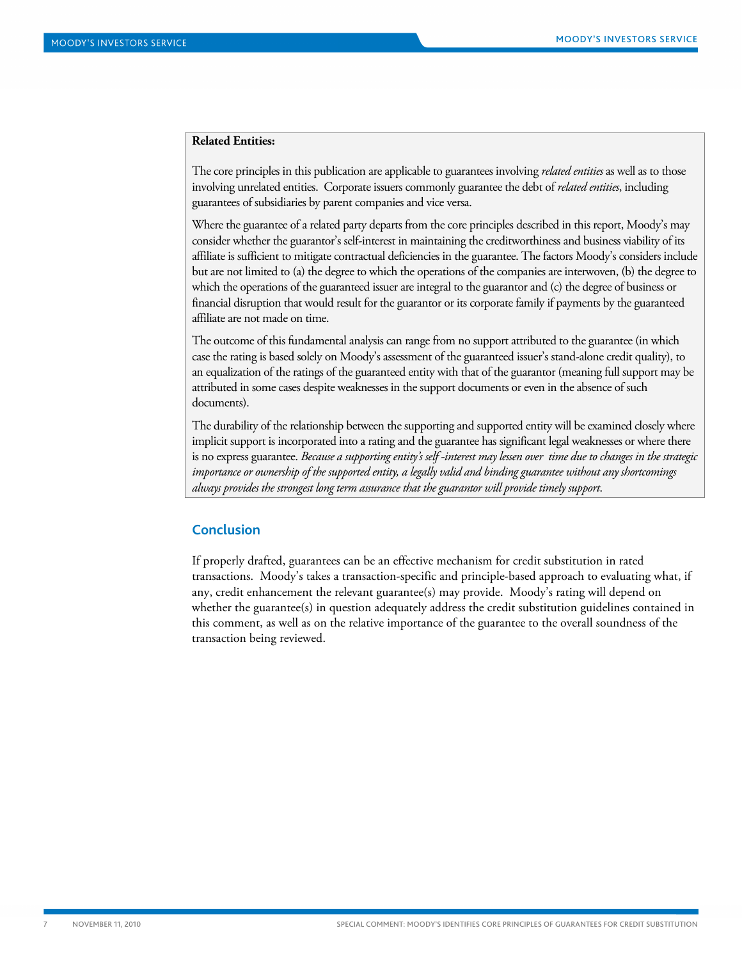#### **Related Entities:**

The core principles in this publication are applicable to guarantees involving *related entities* as well as to those involving unrelated entities. Corporate issuers commonly guarantee the debt of *related entities*, including guarantees of subsidiaries by parent companies and vice versa.

Where the guarantee of a related party departs from the core principles described in this report, Moody's may consider whether the guarantor's self-interest in maintaining the creditworthiness and business viability of its affiliate is sufficient to mitigate contractual deficiencies in the guarantee. The factors Moody's considers include but are not limited to (a) the degree to which the operations of the companies are interwoven, (b) the degree to which the operations of the guaranteed issuer are integral to the guarantor and (c) the degree of business or financial disruption that would result for the guarantor or its corporate family if payments by the guaranteed affiliate are not made on time.

The outcome of this fundamental analysis can range from no support attributed to the guarantee (in which case the rating is based solely on Moody's assessment of the guaranteed issuer's stand-alone credit quality), to an equalization of the ratings of the guaranteed entity with that of the guarantor (meaning full support may be attributed in some cases despite weaknesses in the support documents or even in the absence of such documents).

The durability of the relationship between the supporting and supported entity will be examined closely where implicit support is incorporated into a rating and the guarantee has significant legal weaknesses or where there is no express guarantee. *Because a supporting entity's self -interest may lessen over time due to changes in the strategic importance or ownership of the supported entity, a legally valid and binding guarantee without any shortcomings always provides the strongest long term assurance that the guarantor will provide timely support*.

#### <span id="page-6-0"></span>**Conclusion**

If properly drafted, guarantees can be an effective mechanism for credit substitution in rated transactions. Moody's takes a transaction-specific and principle-based approach to evaluating what, if any, credit enhancement the relevant guarantee(s) may provide. Moody's rating will depend on whether the guarantee(s) in question adequately address the credit substitution guidelines contained in this comment, as well as on the relative importance of the guarantee to the overall soundness of the transaction being reviewed.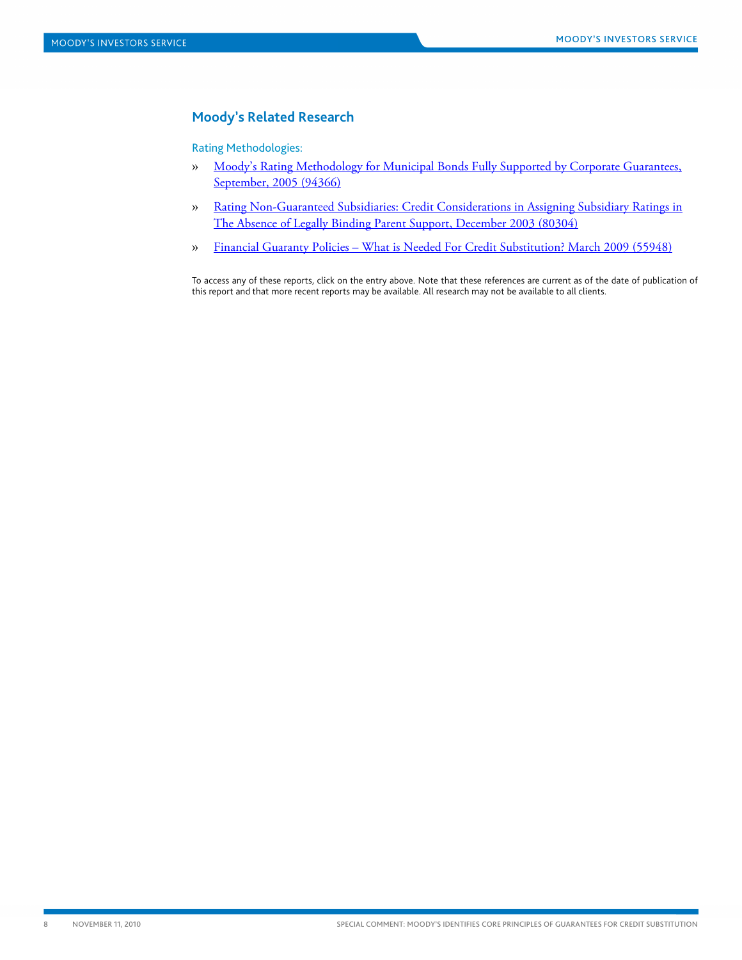### <span id="page-7-0"></span>**Moody's Related Research**

Rating Methodologies:

- » [Moody's Rating Methodology for Municipal Bonds Fully Supported by Corporate Guarantees,](http://www.moodys.com/cust/getdocumentByNotesDocId.asp?criteria=PBM_PBM94366)  [September, 2005](http://www.moodys.com/cust/getdocumentByNotesDocId.asp?criteria=PBM_PBM94366) (94366)
- » [Rating Non-Guaranteed Subsidiaries: Credit Considerations in Assigning Subsidiary Ratings in](http://www.moodys.com/cust/getdocumentByNotesDocId.asp?criteria=PBC_80304)  [The Absence of Legally Binding Parent Support, December 2003](http://www.moodys.com/cust/getdocumentByNotesDocId.asp?criteria=PBC_80304) (80304)
- » [Financial Guaranty Policies What is Needed For Credit Substitution? March 2009 \(55948\)](http://www.moodys.com/cust/getdocumentByNotesDocId.asp?criteria=PBM_PBM55948)

To access any of these reports, click on the entry above. Note that these references are current as of the date of publication of this report and that more recent reports may be available. All research may not be available to all clients.